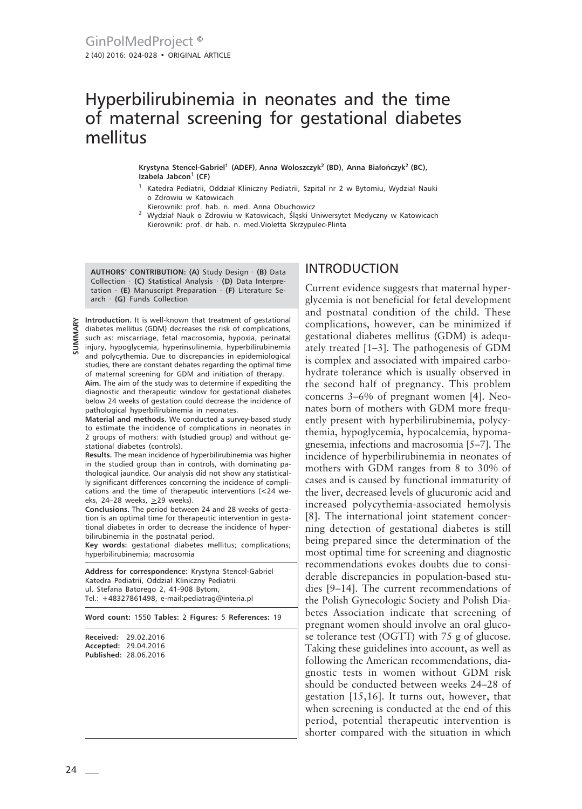# Hyperbilirubinemia in neonates and the time of maternal screening for gestational diabetes mellitus

**Krystyna Stencel-Gabriel1 (ADEF), Anna Woloszczyk2 (BD), Anna Białończyk2 (BC), Izabela Jabcon1 (CF)**

- <sup>1</sup> Katedra Pediatrii, Oddział Kliniczny Pediatrii, Szpital nr 2 w Bytomiu, Wydział Nauki o Zdrowiu w Katowicach
- Kierownik: prof. hab. n. med. Anna Obuchowicz
- <sup>2</sup> Wydział Nauk o Zdrowiu w Katowicach, Śląski Uniwersytet Medyczny w Katowicach Kierownik: prof. dr hab. n. med.Violetta Skrzypulec-Plinta

**AUTHORS' CONTRIBUTION: (A)** Study Design · **(B)** Data Collection · **(C)** Statistical Analysis · **(D)** Data Interpretation · **(E)** Manuscript Preparation · **(F)** Literature Search · **(G)** Funds Collection

**Introduction.** It is well-known that treatment of gestational diabetes mellitus (GDM) decreases the risk of complications, such as: miscarriage, fetal macrosomia, hypoxia, perinatal injury, hypoglycemia, hyperinsulinemia, hyperbilirubinemia and polycythemia. Due to discrepancies in epidemiological studies, there are constant debates regarding the optimal time of maternal screening for GDM and initiation of therapy.

**Aim.** The aim of the study was to determine if expediting the diagnostic and therapeutic window for gestational diabetes below 24 weeks of gestation could decrease the incidence of pathological hyperbilirubinemia in neonates.

**Material and methods.** We conducted a survey-based study to estimate the incidence of complications in neonates in 2 groups of mothers: with (studied group) and without gestational diabetes (controls).

**Results.** The mean incidence of hyperbilirubinemia was higher in the studied group than in controls, with dominating pathological jaundice. Our analysis did not show any statistically significant differences concerning the incidence of complications and the time of therapeutic interventions (<24 weeks, 24-28 weeks,  $\geq$ 29 weeks).

**Conclusions.** The period between 24 and 28 weeks of gestation is an optimal time for therapeutic intervention in gestational diabetes in order to decrease the incidence of hyperbilirubinemia in the postnatal period.

**Key words:** gestational diabetes mellitus; complications; hyperbilirubinemia; macrosomia

**Address for correspondence:** Krystyna Stencel-Gabriel Katedra Pediatrii, Oddział Kliniczny Pediatrii ul. Stefana Batorego 2, 41-908 Bytom, Tel.: +48327861498, e-mail:pediatrag@interia.pl

**Word count:** 1550 **Tables:** 2 **Figures:** 5 **References:** 19

| Received: | 29.02.2016                   |
|-----------|------------------------------|
|           | Accepted: 29.04.2016         |
|           | <b>Published: 28.06.2016</b> |

#### INTRODUCTION

Current evidence suggests that maternal hyperglycemia is not beneficial for fetal development and postnatal condition of the child. These complications, however, can be minimized if gestational diabetes mellitus (GDM) is adequately treated [1–3]. The pathogenesis of GDM is complex and associated with impaired carbohydrate tolerance which is usually observed in the second half of pregnancy. This problem concerns 3–6% of pregnant women [4]. Neonates born of mothers with GDM more frequently present with hyperbilirubinemia, polycythemia, hypoglycemia, hypocalcemia, hypomagnesemia, infections and macrosomia [5–7]. The incidence of hyperbilirubinemia in neonates of mothers with GDM ranges from 8 to 30% of cases and is caused by functional immaturity of the liver, decreased levels of glucuronic acid and increased polycythemia-associated hemolysis [8]. The international joint statement concerning detection of gestational diabetes is still being prepared since the determination of the most optimal time for screening and diagnostic recommendations evokes doubts due to considerable discrepancies in population-based studies [9–14]. The current recommendations of the Polish Gynecologic Society and Polish Diabetes Association indicate that screening of pregnant women should involve an oral glucose tolerance test (OGTT) with 75 g of glucose. Taking these guidelines into account, as well as following the American recommendations, diagnostic tests in women without GDM risk should be conducted between weeks 24–28 of gestation [15,16]. It turns out, however, that when screening is conducted at the end of this period, potential therapeutic intervention is shorter compared with the situation in which

**SUMMARY**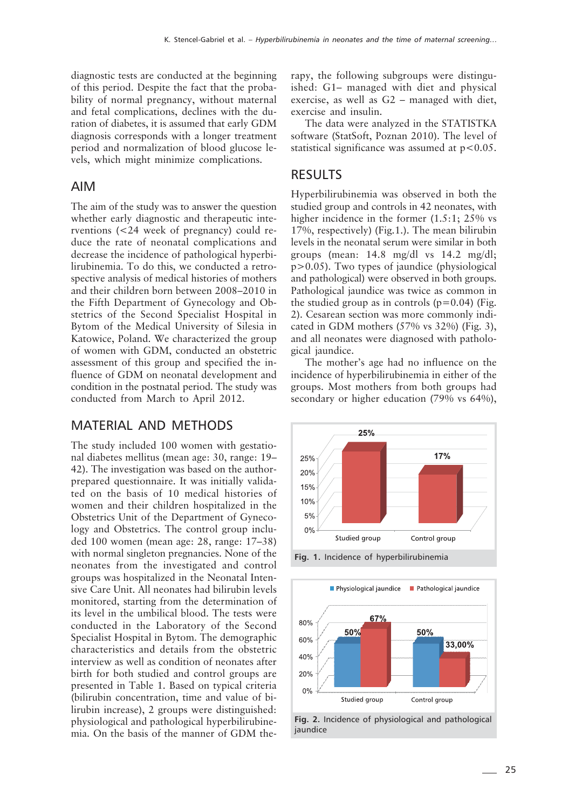diagnostic tests are conducted at the beginning of this period. Despite the fact that the probability of normal pregnancy, without maternal and fetal complications, declines with the duration of diabetes, it is assumed that early GDM diagnosis corresponds with a longer treatment period and normalization of blood glucose levels, which might minimize complications.

#### AIM

The aim of the study was to answer the question whether early diagnostic and therapeutic interventions (<24 week of pregnancy) could reduce the rate of neonatal complications and decrease the incidence of pathological hyperbilirubinemia. To do this, we conducted a retrospective analysis of medical histories of mothers and their children born between 2008–2010 in the Fifth Department of Gynecology and Obstetrics of the Second Specialist Hospital in Bytom of the Medical University of Silesia in Katowice, Poland. We characterized the group of women with GDM, conducted an obstetric assessment of this group and specified the influence of GDM on neonatal development and condition in the postnatal period. The study was conducted from March to April 2012.

## MATERIAL AND METHODS

The study included 100 women with gestational diabetes mellitus (mean age: 30, range: 19– 42). The investigation was based on the authorprepared questionnaire. It was initially validated on the basis of 10 medical histories of women and their children hospitalized in the Obstetrics Unit of the Department of Gynecology and Obstetrics. The control group included 100 women (mean age: 28, range: 17–38) with normal singleton pregnancies. None of the neonates from the investigated and control groups was hospitalized in the Neonatal Intensive Care Unit. All neonates had bilirubin levels monitored, starting from the determination of its level in the umbilical blood. The tests were conducted in the Laboratory of the Second Specialist Hospital in Bytom. The demographic characteristics and details from the obstetric interview as well as condition of neonates after birth for both studied and control groups are presented in Table 1. Based on typical criteria (bilirubin concentration, time and value of bilirubin increase), 2 groups were distinguished: physiological and pathological hyperbilirubinemia. On the basis of the manner of GDM therapy, the following subgroups were distinguished: G1– managed with diet and physical exercise, as well as G2 – managed with diet, exercise and insulin.

The data were analyzed in the STATISTKA software (StatSoft, Poznan 2010). The level of statistical significance was assumed at  $p < 0.05$ .

#### RESULTS

Hyperbilirubinemia was observed in both the studied group and controls in 42 neonates, with higher incidence in the former (1.5:1; 25% vs 17%, respectively) (Fig.1.). The mean bilirubin levels in the neonatal serum were similar in both groups (mean: 14.8 mg/dl vs 14.2 mg/dl; p>0.05). Two types of jaundice (physiological and pathological) were observed in both groups. Pathological jaundice was twice as common in the studied group as in controls  $(p=0.04)$  (Fig. 2). Cesarean section was more commonly indicated in GDM mothers (57% vs 32%) (Fig. 3), and all neonates were diagnosed with pathological jaundice.

The mother's age had no influence on the incidence of hyperbilirubinemia in either of the groups. Most mothers from both groups had secondary or higher education (79% vs 64%),



**Fig. 1.** Incidence of hyperbilirubinemia



**Fig. 2.** Incidence of physiological and pathological jaundice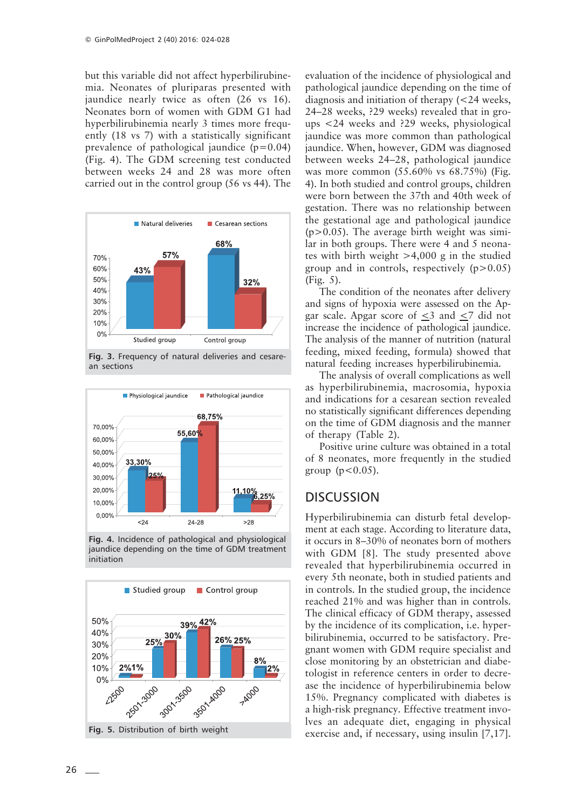but this variable did not affect hyperbilirubinemia. Neonates of pluriparas presented with jaundice nearly twice as often (26 vs 16). Neonates born of women with GDM G1 had hyperbilirubinemia nearly 3 times more frequently (18 vs 7) with a statistically significant prevalence of pathological jaundice  $(p=0.04)$ (Fig. 4). The GDM screening test conducted between weeks 24 and 28 was more often carried out in the control group (56 vs 44). The



**Fig. 3.** Frequency of natural deliveries and cesarean sections



**Fig. 4.** Incidence of pathological and physiological jaundice depending on the time of GDM treatment initiation



evaluation of the incidence of physiological and pathological jaundice depending on the time of diagnosis and initiation of therapy (<24 weeks, 24–28 weeks, ?29 weeks) revealed that in groups <24 weeks and ?29 weeks, physiological jaundice was more common than pathological jaundice. When, however, GDM was diagnosed between weeks 24–28, pathological jaundice was more common (55.60% vs 68.75%) (Fig. 4). In both studied and control groups, children were born between the 37th and 40th week of gestation. There was no relationship between the gestational age and pathological jaundice  $(p>0.05)$ . The average birth weight was similar in both groups. There were 4 and 5 neonates with birth weight >4,000 g in the studied group and in controls, respectively  $(p>0.05)$ (Fig. 5).

The condition of the neonates after delivery and signs of hypoxia were assessed on the Apgar scale. Apgar score of  $\leq$ 3 and  $\leq$ 7 did not increase the incidence of pathological jaundice. The analysis of the manner of nutrition (natural feeding, mixed feeding, formula) showed that natural feeding increases hyperbilirubinemia.

The analysis of overall complications as well as hyperbilirubinemia, macrosomia, hypoxia and indications for a cesarean section revealed no statistically significant differences depending on the time of GDM diagnosis and the manner of therapy (Table 2).

Positive urine culture was obtained in a total of 8 neonates, more frequently in the studied group ( $p < 0.05$ ).

# **DISCUSSION**

Hyperbilirubinemia can disturb fetal development at each stage. According to literature data, it occurs in 8–30% of neonates born of mothers with GDM [8]. The study presented above revealed that hyperbilirubinemia occurred in every 5th neonate, both in studied patients and in controls. In the studied group, the incidence reached 21% and was higher than in controls. The clinical efficacy of GDM therapy, assessed by the incidence of its complication, i.e. hyperbilirubinemia, occurred to be satisfactory. Pregnant women with GDM require specialist and close monitoring by an obstetrician and diabetologist in reference centers in order to decrease the incidence of hyperbilirubinemia below 15%. Pregnancy complicated with diabetes is a high-risk pregnancy. Effective treatment involves an adequate diet, engaging in physical exercise and, if necessary, using insulin [7,17].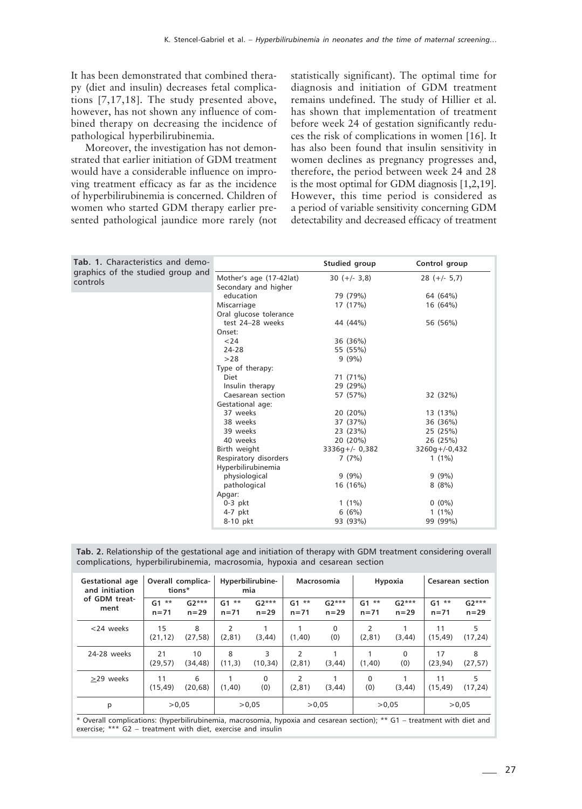It has been demonstrated that combined therapy (diet and insulin) decreases fetal complications [7,17,18]. The study presented above, however, has not shown any influence of combined therapy on decreasing the incidence of pathological hyperbilirubinemia.

Moreover, the investigation has not demonstrated that earlier initiation of GDM treatment would have a considerable influence on improving treatment efficacy as far as the incidence of hyperbilirubinemia is concerned. Children of women who started GDM therapy earlier presented pathological jaundice more rarely (not statistically significant). The optimal time for diagnosis and initiation of GDM treatment remains undefined. The study of Hillier et al. has shown that implementation of treatment before week 24 of gestation significantly reduces the risk of complications in women [16]. It has also been found that insulin sensitivity in women declines as pregnancy progresses and, therefore, the period between week 24 and 28 is the most optimal for GDM diagnosis [1,2,19]. However, this time period is considered as a period of variable sensitivity concerning GDM detectability and decreased efficacy of treatment

| <b>Tab. 1.</b> Characteristics and demo- |                         | Studied group   | Control group   |
|------------------------------------------|-------------------------|-----------------|-----------------|
| graphics of the studied group and        | Mother's age (17-42lat) | $30 (+/- 3.8)$  | $28 (+/- 5.7)$  |
| controls                                 | Secondary and higher    |                 |                 |
|                                          | education               | 79 (79%)        | 64 (64%)        |
|                                          | Miscarriage             | 17 (17%)        | 16 (64%)        |
|                                          | Oral glucose tolerance  |                 |                 |
|                                          | test 24-28 weeks        | 44 (44%)        | 56 (56%)        |
|                                          | Onset:                  |                 |                 |
|                                          | < 24                    | 36 (36%)        |                 |
|                                          | 24-28                   | 55 (55%)        |                 |
|                                          | >28                     | $9(9\%)$        |                 |
|                                          | Type of therapy:        |                 |                 |
|                                          | Diet                    | 71 (71%)        |                 |
|                                          | Insulin therapy         | 29 (29%)        |                 |
|                                          | Caesarean section       | 57 (57%)        | 32 (32%)        |
|                                          | Gestational age:        |                 |                 |
|                                          | 37 weeks                | 20 (20%)        | 13 (13%)        |
|                                          | 38 weeks                | 37 (37%)        | 36 (36%)        |
|                                          | 39 weeks                | 23 (23%)        | 25 (25%)        |
|                                          | 40 weeks                | 20 (20%)        | 26 (25%)        |
|                                          | Birth weight            | $3336q+/-0,382$ | $3260q+/-0,432$ |
|                                          | Respiratory disorders   | 7(7%)           | $1(1\%)$        |
|                                          | Hyperbilirubinemia      |                 |                 |
|                                          | physiological           | $9(9\%)$        | $9(9\%)$        |
|                                          | pathological            | 16 (16%)        | 8(8%)           |
|                                          | Apgar:                  |                 |                 |
|                                          | $0-3$ pkt               | $1(1\%)$        | $0(0\%)$        |
|                                          | $4-7$ pkt               | 6(6%)           | $1(1\%)$        |
|                                          | 8-10 pkt                | 93 (93%)        | 99 (99%)        |

**Tab. 2.** Relationship of the gestational age and initiation of therapy with GDM treatment considering overall complications, hyperbilirubinemia, macrosomia, hypoxia and cesarean section

| Gestational age<br>and initiation<br>of GDM treat-<br>ment | Overall complica-<br>tions*        |                     | Hyperbilirubine-<br>mia            |                     | Macrosomia                       |                   | Hypoxia                            |                   | <b>Cesarean section</b> |                   |
|------------------------------------------------------------|------------------------------------|---------------------|------------------------------------|---------------------|----------------------------------|-------------------|------------------------------------|-------------------|-------------------------|-------------------|
|                                                            | $**$<br>G <sub>1</sub><br>$n = 71$ | $G2***$<br>$n = 29$ | $**$<br>G <sub>1</sub><br>$n = 71$ | $G2***$<br>$n = 29$ | **<br>G <sub>1</sub><br>$n = 71$ | $G2***$<br>$n=29$ | $**$<br>G <sub>1</sub><br>$n = 71$ | $G2***$<br>$n=29$ | $G1$ **<br>$n = 71$     | $G2***$<br>$n=29$ |
| $<$ 24 weeks                                               | 15<br>(21, 12)                     | 8<br>(27, 58)       | 2<br>(2, 81)                       | (3, 44)             | (1, 40)                          | $\Omega$<br>(0)   | (2, 81)                            | (3, 44)           | 11<br>(15, 49)          | 5<br>(17, 24)     |
| 24-28 weeks                                                | 21<br>(29, 57)                     | 10<br>(34, 48)      | 8<br>(11,3)                        | 3<br>(10, 34)       | $\overline{2}$<br>(2, 81)        | (3, 44)           | (1, 40)                            | $\Omega$<br>(0)   | 17<br>(23, 94)          | 8<br>(27, 57)     |
| >29 weeks                                                  | 11<br>(15, 49)                     | 6<br>(20, 68)       | (1, 40)                            | $\Omega$<br>(0)     | $\overline{2}$<br>(2, 81)        | (3, 44)           | $\Omega$<br>(0)                    | (3, 44)           | 11<br>(15, 49)          | 5<br>(17, 24)     |
| p                                                          | >0.05                              |                     | > 0.05                             |                     | >0.05                            |                   | >0.05                              |                   | >0.05                   |                   |

\* Overall complications: (hyperbilirubinemia, macrosomia, hypoxia and cesarean section); \*\* G1 – treatment with diet and exercise; \*\*\* G2 – treatment with diet, exercise and insulin